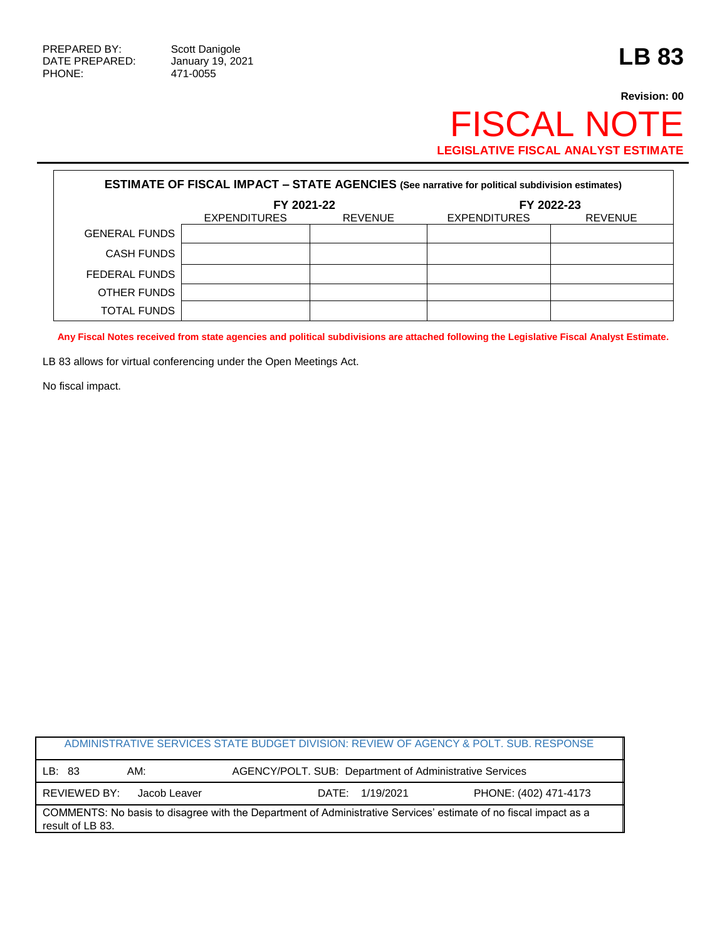## **Revision: 00** FISCAL NOTE **LEGISLATIVE FISCAL ANALYST ESTIMATE**

| <b>ESTIMATE OF FISCAL IMPACT - STATE AGENCIES (See narrative for political subdivision estimates)</b> |                     |                |                     |                |  |  |  |
|-------------------------------------------------------------------------------------------------------|---------------------|----------------|---------------------|----------------|--|--|--|
|                                                                                                       | FY 2021-22          |                | FY 2022-23          |                |  |  |  |
|                                                                                                       | <b>EXPENDITURES</b> | <b>REVENUE</b> | <b>EXPENDITURES</b> | <b>REVENUE</b> |  |  |  |
| <b>GENERAL FUNDS</b>                                                                                  |                     |                |                     |                |  |  |  |
| <b>CASH FUNDS</b>                                                                                     |                     |                |                     |                |  |  |  |
| FEDERAL FUNDS                                                                                         |                     |                |                     |                |  |  |  |
| OTHER FUNDS                                                                                           |                     |                |                     |                |  |  |  |
| TOTAL FUNDS                                                                                           |                     |                |                     |                |  |  |  |

**Any Fiscal Notes received from state agencies and political subdivisions are attached following the Legislative Fiscal Analyst Estimate.**

LB 83 allows for virtual conferencing under the Open Meetings Act.

No fiscal impact.

| ADMINISTRATIVE SERVICES STATE BUDGET DIVISION: REVIEW OF AGENCY & POLT. SUB. RESPONSE                            |                                                         |                       |  |  |  |
|------------------------------------------------------------------------------------------------------------------|---------------------------------------------------------|-----------------------|--|--|--|
| AM:<br>LB: 83                                                                                                    | AGENCY/POLT. SUB: Department of Administrative Services |                       |  |  |  |
| REVIEWED BY:<br>Jacob Leaver                                                                                     | DATE: 1/19/2021                                         | PHONE: (402) 471-4173 |  |  |  |
| COMMENTS: No basis to disagree with the Department of Administrative Services' estimate of no fiscal impact as a |                                                         |                       |  |  |  |
| result of LB 83.                                                                                                 |                                                         |                       |  |  |  |